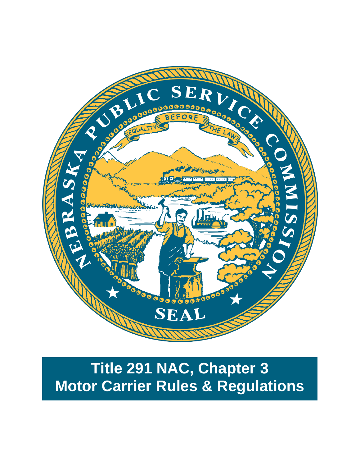

# **Title 291 NAC, Chapter 3 Motor Carrier Rules & Regulations**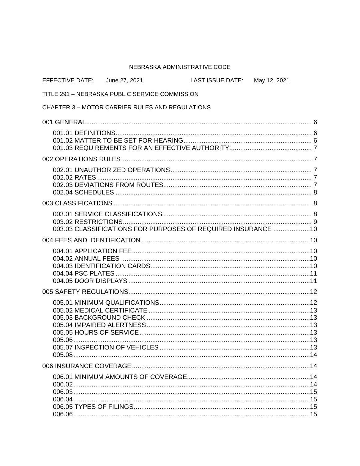#### NEBRASKA ADMINISTRATIVE CODE

| EFFECTIVE DATE: June 27, 2021 |                                                              | LAST ISSUE DATE: May 12, 2021 |  |
|-------------------------------|--------------------------------------------------------------|-------------------------------|--|
|                               | TITLE 291 - NEBRASKA PUBLIC SERVICE COMMISSION               |                               |  |
|                               | <b>CHAPTER 3 – MOTOR CARRIER RULES AND REGULATIONS</b>       |                               |  |
|                               |                                                              |                               |  |
|                               |                                                              |                               |  |
|                               |                                                              |                               |  |
|                               |                                                              |                               |  |
|                               | 003.03 CLASSIFICATIONS FOR PURPOSES OF REQUIRED INSURANCE 10 |                               |  |
|                               |                                                              |                               |  |
|                               |                                                              |                               |  |
|                               |                                                              |                               |  |
| 005.06.<br>005.08             |                                                              |                               |  |
|                               |                                                              |                               |  |
|                               |                                                              |                               |  |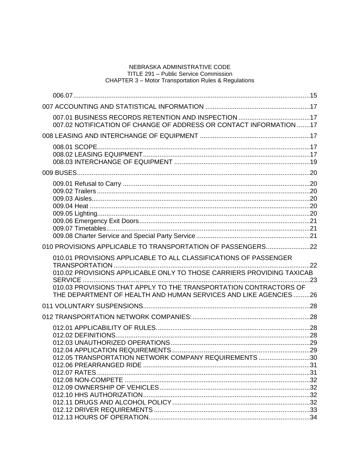| 007.02 NOTIFICATION OF CHANGE OF ADDRESS OR CONTACT INFORMATION 17                                                                                                                                                                                                                |     |
|-----------------------------------------------------------------------------------------------------------------------------------------------------------------------------------------------------------------------------------------------------------------------------------|-----|
|                                                                                                                                                                                                                                                                                   |     |
|                                                                                                                                                                                                                                                                                   |     |
|                                                                                                                                                                                                                                                                                   |     |
|                                                                                                                                                                                                                                                                                   |     |
| 010 PROVISIONS APPLICABLE TO TRANSPORTATION OF PASSENGERS22                                                                                                                                                                                                                       |     |
| 010.01 PROVISIONS APPLICABLE TO ALL CLASSIFICATIONS OF PASSENGER<br>010.02 PROVISIONS APPLICABLE ONLY TO THOSE CARRIERS PROVIDING TAXICAB<br>010.03 PROVISIONS THAT APPLY TO THE TRANSPORTATION CONTRACTORS OF<br>THE DEPARTMENT OF HEALTH AND HUMAN SERVICES AND LIKE AGENCIES26 | .23 |
|                                                                                                                                                                                                                                                                                   |     |
|                                                                                                                                                                                                                                                                                   |     |
| 012.05 TRANSPORTATION NETWORK COMPANY REQUIREMENTS 30                                                                                                                                                                                                                             |     |
|                                                                                                                                                                                                                                                                                   |     |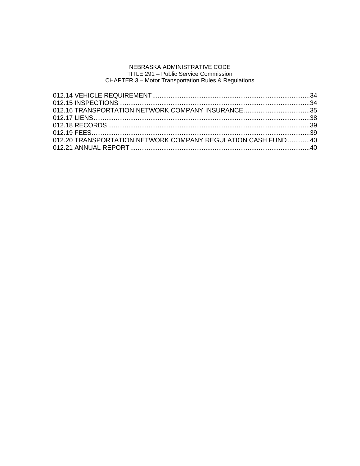| 012.16 TRANSPORTATION NETWORK COMPANY INSURANCE 35            |  |
|---------------------------------------------------------------|--|
|                                                               |  |
|                                                               |  |
|                                                               |  |
| 012.20 TRANSPORTATION NETWORK COMPANY REGULATION CASH FUND 40 |  |
|                                                               |  |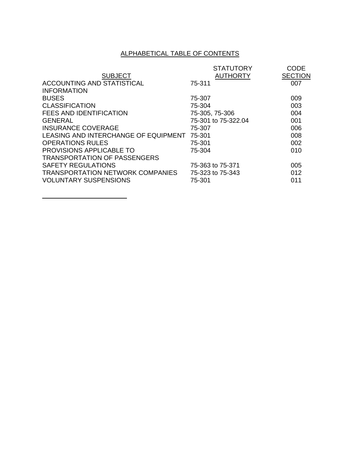# ALPHABETICAL TABLE OF CONTENTS

|                                         | <b>STATUTORY</b>    | <b>CODE</b>    |
|-----------------------------------------|---------------------|----------------|
| <b>SUBJECT</b>                          | <b>AUTHORTY</b>     | <b>SECTION</b> |
| ACCOUNTING AND STATISTICAL              | 75-311              | 007            |
| <b>INFORMATION</b>                      |                     |                |
| <b>BUSES</b>                            | 75-307              | 009            |
| <b>CLASSIFICATION</b>                   | 75-304              | 003            |
| <b>FEES AND IDENTIFICATION</b>          | 75-305, 75-306      | 004            |
| GENERAL                                 | 75-301 to 75-322.04 | 001            |
| <b>INSURANCE COVERAGE</b>               | 75-307              | 006            |
| LEASING AND INTERCHANGE OF EQUIPMENT    | 75-301              | 008            |
| <b>OPERATIONS RULES</b>                 | 75-301              | 002            |
| <b>PROVISIONS APPLICABLE TO</b>         | 75-304              | 010            |
| <b>TRANSPORTATION OF PASSENGERS</b>     |                     |                |
| <b>SAFETY REGULATIONS</b>               | 75-363 to 75-371    | 005            |
| <b>TRANSPORTATION NETWORK COMPANIES</b> | 75-323 to 75-343    | 012            |
| <b>VOLUNTARY SUSPENSIONS</b>            | 75-301              | 011            |
|                                         |                     |                |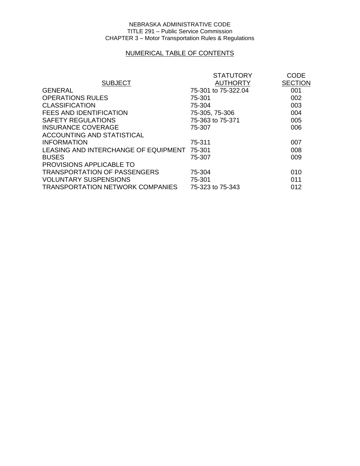# NUMERICAL TABLE OF CONTENTS

|                                             | <b>STATUTORY</b>    | <b>CODE</b>    |
|---------------------------------------------|---------------------|----------------|
| <b>SUBJECT</b>                              | <b>AUTHORTY</b>     | <b>SECTION</b> |
| <b>GENERAL</b>                              | 75-301 to 75-322.04 | 001            |
| <b>OPERATIONS RULES</b>                     | 75-301              | 002            |
| <b>CLASSIFICATION</b>                       | 75-304              | 003            |
| <b>FEES AND IDENTIFICATION</b>              | 75-305, 75-306      | 004            |
| <b>SAFETY REGULATIONS</b>                   | 75-363 to 75-371    | 005            |
| <b>INSURANCE COVERAGE</b>                   | 75-307              | 006            |
| ACCOUNTING AND STATISTICAL                  |                     |                |
| <b>INFORMATION</b>                          | 75-311              | 007            |
| LEASING AND INTERCHANGE OF EQUIPMENT 75-301 |                     | 008            |
| <b>BUSES</b>                                | 75-307              | 009            |
| PROVISIONS APPLICABLE TO                    |                     |                |
| <b>TRANSPORTATION OF PASSENGERS</b>         | 75-304              | 010            |
| <b>VOLUNTARY SUSPENSIONS</b>                | 75-301              | 011            |
| <b>TRANSPORTATION NETWORK COMPANIES</b>     | 75-323 to 75-343    | 012            |
|                                             |                     |                |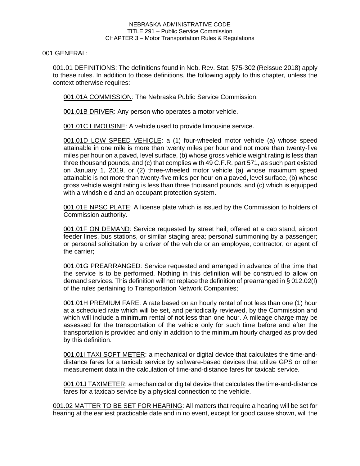001 GENERAL:

001.01 DEFINITIONS: The definitions found in Neb. Rev. Stat. §75-302 (Reissue 2018) apply to these rules. In addition to those definitions, the following apply to this chapter, unless the context otherwise requires:

001.01A COMMISSION: The Nebraska Public Service Commission.

001.01B DRIVER: Any person who operates a motor vehicle.

001.01C LIMOUSINE: A vehicle used to provide limousine service.

001.01D LOW SPEED VEHICLE: a (1) four-wheeled motor vehicle (a) whose speed attainable in one mile is more than twenty miles per hour and not more than twenty-five miles per hour on a paved, level surface, (b) whose gross vehicle weight rating is less than three thousand pounds, and (c) that complies with 49 C.F.R. part 571, as such part existed on January 1, 2019, or (2) three-wheeled motor vehicle (a) whose maximum speed attainable is not more than twenty-five miles per hour on a paved, level surface, (b) whose gross vehicle weight rating is less than three thousand pounds, and (c) which is equipped with a windshield and an occupant protection system.

001.01E NPSC PLATE: A license plate which is issued by the Commission to holders of Commission authority.

001.01F ON DEMAND: Service requested by street hail; offered at a cab stand, airport feeder lines, bus stations, or similar staging area; personal summoning by a passenger; or personal solicitation by a driver of the vehicle or an employee, contractor, or agent of the carrier;

001.01G PREARRANGED: Service requested and arranged in advance of the time that the service is to be performed. Nothing in this definition will be construed to allow on demand services. This definition will not replace the definition of prearranged in § 012.02(I) of the rules pertaining to Transportation Network Companies;

001.01H PREMIUM FARE: A rate based on an hourly rental of not less than one (1) hour at a scheduled rate which will be set, and periodically reviewed, by the Commission and which will include a minimum rental of not less than one hour. A mileage charge may be assessed for the transportation of the vehicle only for such time before and after the transportation is provided and only in addition to the minimum hourly charged as provided by this definition.

001.01I TAXI SOFT METER: a mechanical or digital device that calculates the time-anddistance fares for a taxicab service by software-based devices that utilize GPS or other measurement data in the calculation of time-and-distance fares for taxicab service.

001.01J TAXIMETER: a mechanical or digital device that calculates the time-and-distance fares for a taxicab service by a physical connection to the vehicle.

001.02 MATTER TO BE SET FOR HEARING: All matters that require a hearing will be set for hearing at the earliest practicable date and in no event, except for good cause shown, will the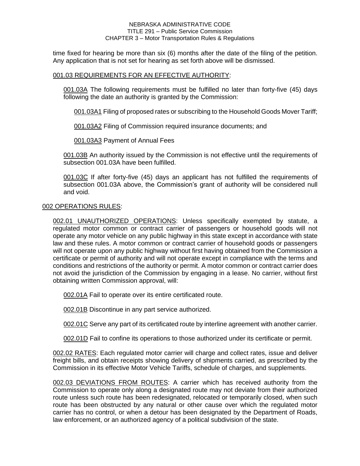time fixed for hearing be more than six (6) months after the date of the filing of the petition. Any application that is not set for hearing as set forth above will be dismissed.

# 001.03 REQUIREMENTS FOR AN EFFECTIVE AUTHORITY:

001.03A The following requirements must be fulfilled no later than forty-five (45) days following the date an authority is granted by the Commission:

001.03A1 Filing of proposed rates or subscribing to the Household Goods Mover Tariff;

001.03A2 Filing of Commission required insurance documents; and

001.03A3 Payment of Annual Fees

001.03B An authority issued by the Commission is not effective until the requirements of subsection 001.03A have been fulfilled.

001.03C If after forty-five (45) days an applicant has not fulfilled the requirements of subsection 001.03A above, the Commission's grant of authority will be considered null and void.

# 002 OPERATIONS RULES:

002.01 UNAUTHORIZED OPERATIONS: Unless specifically exempted by statute, a regulated motor common or contract carrier of passengers or household goods will not operate any motor vehicle on any public highway in this state except in accordance with state law and these rules. A motor common or contract carrier of household goods or passengers will not operate upon any public highway without first having obtained from the Commission a certificate or permit of authority and will not operate except in compliance with the terms and conditions and restrictions of the authority or permit. A motor common or contract carrier does not avoid the jurisdiction of the Commission by engaging in a lease. No carrier, without first obtaining written Commission approval, will:

002.01A Fail to operate over its entire certificated route.

002.01B Discontinue in any part service authorized.

002.01C Serve any part of its certificated route by interline agreement with another carrier.

002.01D Fail to confine its operations to those authorized under its certificate or permit.

002.02 RATES: Each regulated motor carrier will charge and collect rates, issue and deliver freight bills, and obtain receipts showing delivery of shipments carried, as prescribed by the Commission in its effective Motor Vehicle Tariffs, schedule of charges, and supplements.

002.03 DEVIATIONS FROM ROUTES: A carrier which has received authority from the Commission to operate only along a designated route may not deviate from their authorized route unless such route has been redesignated, relocated or temporarily closed, when such route has been obstructed by any natural or other cause over which the regulated motor carrier has no control, or when a detour has been designated by the Department of Roads, law enforcement, or an authorized agency of a political subdivision of the state.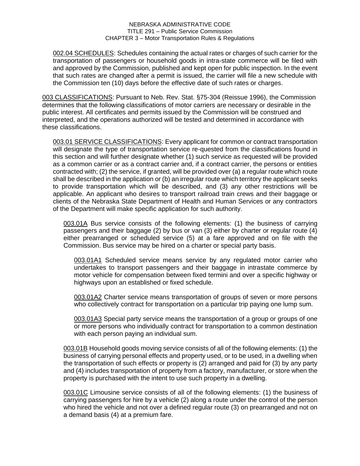002.04 SCHEDULES: Schedules containing the actual rates or charges of such carrier for the transportation of passengers or household goods in intra-state commerce will be filed with and approved by the Commission, published and kept open for public inspection. In the event that such rates are changed after a permit is issued, the carrier will file a new schedule with the Commission ten (10) days before the effective date of such rates or charges.

003 CLASSIFICATIONS: Pursuant to Neb. Rev. Stat. §75-304 (Reissue 1996), the Commission determines that the following classifications of motor carriers are necessary or desirable in the public interest. All certificates and permits issued by the Commission will be construed and interpreted, and the operations authorized will be tested and determined in accordance with these classifications.

003.01 SERVICE CLASSIFICATIONS: Every applicant for common or contract transportation will designate the type of transportation service re-quested from the classifications found in this section and will further designate whether (1) such service as requested will be provided as a common carrier or as a contract carrier and, if a contract carrier, the persons or entities contracted with; (2) the service, if granted, will be provided over (a) a regular route which route shall be described in the application or (b) an irregular route which territory the applicant seeks to provide transportation which will be described, and (3) any other restrictions will be applicable. An applicant who desires to transport railroad train crews and their baggage or clients of the Nebraska State Department of Health and Human Services or any contractors of the Department will make specific application for such authority.

003.01A Bus service consists of the following elements: (1) the business of carrying passengers and their baggage (2) by bus or van (3) either by charter or regular route (4) either prearranged or scheduled service (5) at a fare approved and on file with the Commission. Bus service may be hired on a charter or special party basis.

003.01A1 Scheduled service means service by any regulated motor carrier who undertakes to transport passengers and their baggage in intrastate commerce by motor vehicle for compensation between fixed termini and over a specific highway or highways upon an established or fixed schedule.

003.01A2 Charter service means transportation of groups of seven or more persons who collectively contract for transportation on a particular trip paying one lump sum.

003.01A3 Special party service means the transportation of a group or groups of one or more persons who individually contract for transportation to a common destination with each person paying an individual sum.

003.01B Household goods moving service consists of all of the following elements: (1) the business of carrying personal effects and property used, or to be used, in a dwelling when the transportation of such effects or property is (2) arranged and paid for (3) by any party and (4) includes transportation of property from a factory, manufacturer, or store when the property is purchased with the intent to use such property in a dwelling.

003.01C Limousine service consists of all of the following elements: (1) the business of carrying passengers for hire by a vehicle (2) along a route under the control of the person who hired the vehicle and not over a defined regular route (3) on prearranged and not on a demand basis (4) at a premium fare.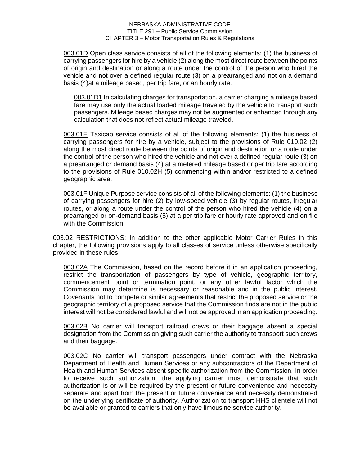003.01D Open class service consists of all of the following elements: (1) the business of carrying passengers for hire by a vehicle (2) along the most direct route between the points of origin and destination or along a route under the control of the person who hired the vehicle and not over a defined regular route (3) on a prearranged and not on a demand basis (4)at a mileage based, per trip fare, or an hourly rate.

003.01D1 In calculating charges for transportation, a carrier charging a mileage based fare may use only the actual loaded mileage traveled by the vehicle to transport such passengers. Mileage based charges may not be augmented or enhanced through any calculation that does not reflect actual mileage traveled.

003.01E Taxicab service consists of all of the following elements: (1) the business of carrying passengers for hire by a vehicle, subject to the provisions of Rule 010.02 (2) along the most direct route between the points of origin and destination or a route under the control of the person who hired the vehicle and not over a defined regular route (3) on a prearranged or demand basis (4) at a metered mileage based or per trip fare according to the provisions of Rule 010.02H (5) commencing within and/or restricted to a defined geographic area.

003.01F Unique Purpose service consists of all of the following elements: (1) the business of carrying passengers for hire (2) by low-speed vehicle (3) by regular routes, irregular routes, or along a route under the control of the person who hired the vehicle (4) on a prearranged or on-demand basis (5) at a per trip fare or hourly rate approved and on file with the Commission.

003.02 RESTRICTIONS: In addition to the other applicable Motor Carrier Rules in this chapter, the following provisions apply to all classes of service unless otherwise specifically provided in these rules:

003.02A The Commission, based on the record before it in an application proceeding, restrict the transportation of passengers by type of vehicle, geographic territory, commencement point or termination point, or any other lawful factor which the Commission may determine is necessary or reasonable and in the public interest. Covenants not to compete or similar agreements that restrict the proposed service or the geographic territory of a proposed service that the Commission finds are not in the public interest will not be considered lawful and will not be approved in an application proceeding.

003.02B No carrier will transport railroad crews or their baggage absent a special designation from the Commission giving such carrier the authority to transport such crews and their baggage.

003.02C No carrier will transport passengers under contract with the Nebraska Department of Health and Human Services or any subcontractors of the Department of Health and Human Services absent specific authorization from the Commission. In order to receive such authorization, the applying carrier must demonstrate that such authorization is or will be required by the present or future convenience and necessity separate and apart from the present or future convenience and necessity demonstrated on the underlying certificate of authority. Authorization to transport HHS clientele will not be available or granted to carriers that only have limousine service authority.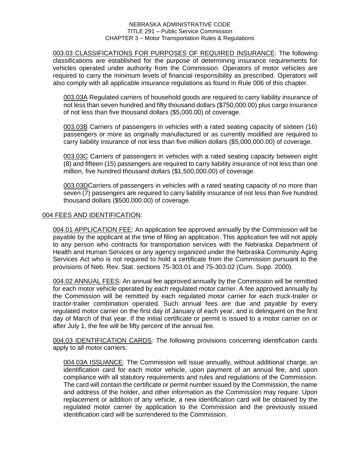003.03 CLASSIFICATIONS FOR PURPOSES OF REQUIRED INSURANCE: The following classifications are established for the purpose of determining insurance requirements for vehicles operated under authority from the Commission. Operators of motor vehicles are required to carry the minimum levels of financial responsibility as prescribed. Operators will also comply with all applicable insurance regulations as found in Rule 006 of this chapter.

003.03A Regulated carriers of household goods are required to carry liability insurance of not less than seven hundred and fifty thousand dollars (\$750,000.00) plus cargo insurance of not less than five thousand dollars (\$5,000.00) of coverage.

003.03B Carriers of passengers in vehicles with a rated seating capacity of sixteen (16) passengers or more as originally manufactured or as currently modified are required to carry liability insurance of not less than five million dollars (\$5,000,000.00) of coverage.

003.03C Carriers of passengers in vehicles with a rated seating capacity between eight (8) and fifteen (15) passengers are required to carry liability insurance of not less than one million, five hundred thousand dollars (\$1,500,000.00) of coverage.

003.03DCarriers of passengers in vehicles with a rated seating capacity of no more than seven (7) passengers are required to carry liability insurance of not less than five hundred thousand dollars (\$500,000.00) of coverage.

# 004 FEES AND IDENTIFICATION:

004.01 APPLICATION FEE: An application fee approved annually by the Commission will be payable by the applicant at the time of filing an application. This application fee will not apply to any person who contracts for transportation services with the Nebraska Department of Health and Human Services or any agency organized under the Nebraska Community Aging Services Act who is not required to hold a certificate from the Commission pursuant to the provisions of Neb. Rev. Stat. sections 75-303.01 and 75-303.02 (Cum. Supp. 2000).

004.02 ANNUAL FEES: An annual fee approved annually by the Commission will be remitted for each motor vehicle operated by each regulated motor carrier. A fee approved annually by the Commission will be remitted by each regulated motor carrier for each truck-trailer or tractor-trailer combination operated. Such annual fees are due and payable by every regulated motor carrier on the first day of January of each year, and is delinquent on the first day of March of that year. If the initial certificate or permit is issued to a motor carrier on or after July 1, the fee will be fifty percent of the annual fee.

004.03 IDENTIFICATION CARDS: The following provisions concerning identification cards apply to all motor carriers:

004.03A ISSUANCE: The Commission will issue annually, without additional charge, an identification card for each motor vehicle, upon payment of an annual fee, and upon compliance with all statutory requirements and rules and regulations of the Commission. The card will contain the certificate or permit number issued by the Commission, the name and address of the holder, and other information as the Commission may require. Upon replacement or addition of any vehicle, a new identification card will be obtained by the regulated motor carrier by application to the Commission and the previously issued identification card will be surrendered to the Commission.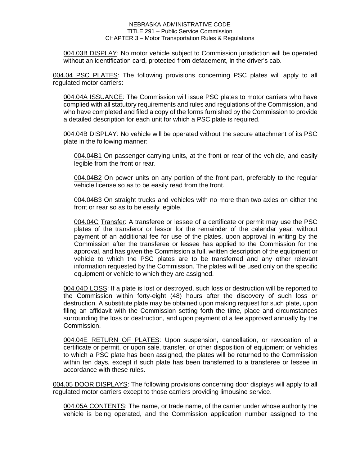004.03B DISPLAY: No motor vehicle subject to Commission jurisdiction will be operated without an identification card, protected from defacement, in the driver's cab.

004.04 PSC PLATES: The following provisions concerning PSC plates will apply to all regulated motor carriers:

004.04A ISSUANCE: The Commission will issue PSC plates to motor carriers who have complied with all statutory requirements and rules and regulations of the Commission, and who have completed and filed a copy of the forms furnished by the Commission to provide a detailed description for each unit for which a PSC plate is required.

004.04B DISPLAY: No vehicle will be operated without the secure attachment of its PSC plate in the following manner:

004.04B1 On passenger carrying units, at the front or rear of the vehicle, and easily legible from the front or rear.

004.04B2 On power units on any portion of the front part, preferably to the regular vehicle license so as to be easily read from the front.

004.04B3 On straight trucks and vehicles with no more than two axles on either the front or rear so as to be easily legible.

004.04C Transfer: A transferee or lessee of a certificate or permit may use the PSC plates of the transferor or lessor for the remainder of the calendar year, without payment of an additional fee for use of the plates, upon approval in writing by the Commission after the transferee or lessee has applied to the Commission for the approval, and has given the Commission a full, written description of the equipment or vehicle to which the PSC plates are to be transferred and any other relevant information requested by the Commission. The plates will be used only on the specific equipment or vehicle to which they are assigned.

004.04D LOSS: If a plate is lost or destroyed, such loss or destruction will be reported to the Commission within forty-eight (48) hours after the discovery of such loss or destruction. A substitute plate may be obtained upon making request for such plate, upon filing an affidavit with the Commission setting forth the time, place and circumstances surrounding the loss or destruction, and upon payment of a fee approved annually by the Commission.

004.04E RETURN OF PLATES: Upon suspension, cancellation, or revocation of a certificate or permit, or upon sale, transfer, or other disposition of equipment or vehicles to which a PSC plate has been assigned, the plates will be returned to the Commission within ten days, except if such plate has been transferred to a transferee or lessee in accordance with these rules.

004.05 DOOR DISPLAYS: The following provisions concerning door displays will apply to all regulated motor carriers except to those carriers providing limousine service.

004.05A CONTENTS: The name, or trade name, of the carrier under whose authority the vehicle is being operated, and the Commission application number assigned to the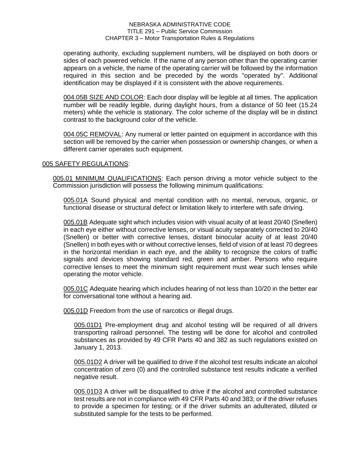operating authority, excluding supplement numbers, will be displayed on both doors or sides of each powered vehicle. If the name of any person other than the operating carrier appears on a vehicle, the name of the operating carrier will be followed by the information required in this section and be preceded by the words "operated by". Additional identification may be displayed if it is consistent with the above requirements.

004.05B SIZE AND COLOR: Each door display will be legible at all times. The application number will be readily legible, during daylight hours, from a distance of 50 feet (15.24 meters) while the vehicle is stationary. The color scheme of the display will be in distinct contrast to the background color of the vehicle.

004.05C REMOVAL: Any numeral or letter painted on equipment in accordance with this section will be removed by the carrier when possession or ownership changes, or when a different carrier operates such equipment.

# 005 SAFETY REGULATIONS:

005.01 MINIMUM QUALIFICATIONS: Each person driving a motor vehicle subject to the Commission jurisdiction will possess the following minimum qualifications:

005.01A Sound physical and mental condition with no mental, nervous, organic, or functional disease or structural defect or limitation likely to interfere with safe driving.

005.01B Adequate sight which includes vision with visual acuity of at least 20/40 (Snellen) in each eye either without corrective lenses, or visual acuity separately corrected to 20/40 (Snellen) or better with corrective lenses, distant binocular acuity of at least 20/40 (Snellen) in both eyes with or without corrective lenses, field of vision of at least 70 degrees in the horizontal meridian in each eye, and the ability to recognize the colors of traffic signals and devices showing standard red, green and amber. Persons who require corrective lenses to meet the minimum sight requirement must wear such lenses while operating the motor vehicle.

005.01C Adequate hearing which includes hearing of not less than 10/20 in the better ear for conversational tone without a hearing aid.

005.01D Freedom from the use of narcotics or illegal drugs.

005.01D1 Pre-employment drug and alcohol testing will be required of all drivers transporting railroad personnel. The testing will be done for alcohol and controlled substances as provided by 49 CFR Parts 40 and 382 as such regulations existed on January 1, 2013.

005.01D2 A driver will be qualified to drive if the alcohol test results indicate an alcohol concentration of zero (0) and the controlled substance test results indicate a verified negative result.

005.01D3 A driver will be disqualified to drive if the alcohol and controlled substance test results are not in compliance with 49 CFR Parts 40 and 383; or if the driver refuses to provide a specimen for testing; or if the driver submits an adulterated, diluted or substituted sample for the tests to be performed.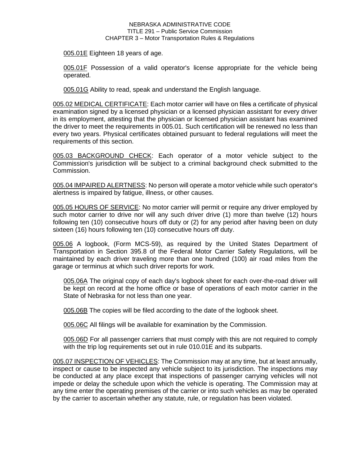005.01E Eighteen 18 years of age.

005.01F Possession of a valid operator's license appropriate for the vehicle being operated.

005.01G Ability to read, speak and understand the English language.

005.02 MEDICAL CERTIFICATE: Each motor carrier will have on files a certificate of physical examination signed by a licensed physician or a licensed physician assistant for every driver in its employment, attesting that the physician or licensed physician assistant has examined the driver to meet the requirements in 005.01. Such certification will be renewed no less than every two years. Physical certificates obtained pursuant to federal regulations will meet the requirements of this section.

005.03 BACKGROUND CHECK: Each operator of a motor vehicle subject to the Commission's jurisdiction will be subject to a criminal background check submitted to the Commission.

005.04 IMPAIRED ALERTNESS: No person will operate a motor vehicle while such operator's alertness is impaired by fatigue, illness, or other causes.

005.05 HOURS OF SERVICE: No motor carrier will permit or require any driver employed by such motor carrier to drive nor will any such driver drive (1) more than twelve (12) hours following ten (10) consecutive hours off duty or (2) for any period after having been on duty sixteen (16) hours following ten (10) consecutive hours off duty.

005.06 A logbook, (Form MCS-59), as required by the United States Department of Transportation in Section 395.8 of the Federal Motor Carrier Safety Regulations, will be maintained by each driver traveling more than one hundred (100) air road miles from the garage or terminus at which such driver reports for work.

005.06A The original copy of each day's logbook sheet for each over-the-road driver will be kept on record at the home office or base of operations of each motor carrier in the State of Nebraska for not less than one year.

005.06B The copies will be filed according to the date of the logbook sheet.

005.06C All filings will be available for examination by the Commission.

005.06D For all passenger carriers that must comply with this are not required to comply with the trip log requirements set out in rule 010.01E and its subparts.

005.07 INSPECTION OF VEHICLES: The Commission may at any time, but at least annually, inspect or cause to be inspected any vehicle subject to its jurisdiction. The inspections may be conducted at any place except that inspections of passenger carrying vehicles will not impede or delay the schedule upon which the vehicle is operating. The Commission may at any time enter the operating premises of the carrier or into such vehicles as may be operated by the carrier to ascertain whether any statute, rule, or regulation has been violated.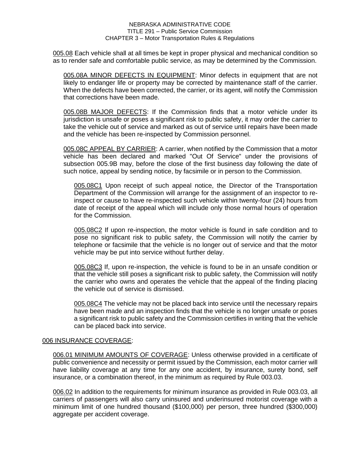005.08 Each vehicle shall at all times be kept in proper physical and mechanical condition so as to render safe and comfortable public service, as may be determined by the Commission.

005.08A MINOR DEFECTS IN EQUIPMENT: Minor defects in equipment that are not likely to endanger life or property may be corrected by maintenance staff of the carrier. When the defects have been corrected, the carrier, or its agent, will notify the Commission that corrections have been made.

005.08B MAJOR DEFECTS: If the Commission finds that a motor vehicle under its jurisdiction is unsafe or poses a significant risk to public safety, it may order the carrier to take the vehicle out of service and marked as out of service until repairs have been made and the vehicle has been re-inspected by Commission personnel.

005.08C APPEAL BY CARRIER: A carrier, when notified by the Commission that a motor vehicle has been declared and marked "Out Of Service" under the provisions of subsection 005.9B may, before the close of the first business day following the date of such notice, appeal by sending notice, by facsimile or in person to the Commission.

005.08C1 Upon receipt of such appeal notice, the Director of the Transportation Department of the Commission will arrange for the assignment of an inspector to reinspect or cause to have re-inspected such vehicle within twenty-four (24) hours from date of receipt of the appeal which will include only those normal hours of operation for the Commission.

005.08C2 If upon re-inspection, the motor vehicle is found in safe condition and to pose no significant risk to public safety, the Commission will notify the carrier by telephone or facsimile that the vehicle is no longer out of service and that the motor vehicle may be put into service without further delay.

005.08C3 If, upon re-inspection, the vehicle is found to be in an unsafe condition or that the vehicle still poses a significant risk to public safety, the Commission will notify the carrier who owns and operates the vehicle that the appeal of the finding placing the vehicle out of service is dismissed.

005.08C4 The vehicle may not be placed back into service until the necessary repairs have been made and an inspection finds that the vehicle is no longer unsafe or poses a significant risk to public safety and the Commission certifies in writing that the vehicle can be placed back into service.

# 006 INSURANCE COVERAGE:

006.01 MINIMUM AMOUNTS OF COVERAGE: Unless otherwise provided in a certificate of public convenience and necessity or permit issued by the Commission, each motor carrier will have liability coverage at any time for any one accident, by insurance, surety bond, self insurance, or a combination thereof, in the minimum as required by Rule 003.03.

006.02 In addition to the requirements for minimum insurance as provided in Rule 003.03, all carriers of passengers will also carry uninsured and underinsured motorist coverage with a minimum limit of one hundred thousand (\$100,000) per person, three hundred (\$300,000) aggregate per accident coverage.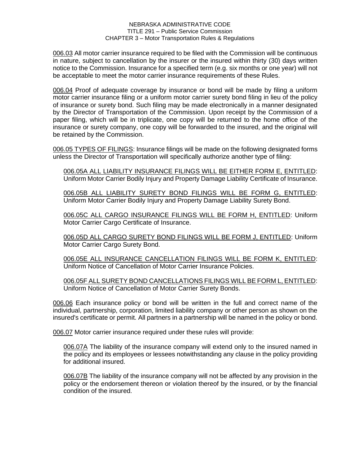006.03 All motor carrier insurance required to be filed with the Commission will be continuous in nature, subject to cancellation by the insurer or the insured within thirty (30) days written notice to the Commission. Insurance for a specified term (e.g. six months or one year) will not be acceptable to meet the motor carrier insurance requirements of these Rules.

006.04 Proof of adequate coverage by insurance or bond will be made by filing a uniform motor carrier insurance filing or a uniform motor carrier surety bond filing in lieu of the policy of insurance or surety bond. Such filing may be made electronically in a manner designated by the Director of Transportation of the Commission. Upon receipt by the Commission of a paper filing, which will be in triplicate, one copy will be returned to the home office of the insurance or surety company, one copy will be forwarded to the insured, and the original will be retained by the Commission.

006.05 TYPES OF FILINGS: Insurance filings will be made on the following designated forms unless the Director of Transportation will specifically authorize another type of filing:

006.05A ALL LIABILITY INSURANCE FILINGS WILL BE EITHER FORM E, ENTITLED: Uniform Motor Carrier Bodily Injury and Property Damage Liability Certificate of Insurance.

006.05B ALL LIABILITY SURETY BOND FILINGS WILL BE FORM G, ENTITLED: Uniform Motor Carrier Bodily Injury and Property Damage Liability Surety Bond.

006.05C ALL CARGO INSURANCE FILINGS WILL BE FORM H, ENTITLED: Uniform Motor Carrier Cargo Certificate of Insurance.

006.05D ALL CARGO SURETY BOND FILINGS WILL BE FORM J, ENTITLED: Uniform Motor Carrier Cargo Surety Bond.

006.05E ALL INSURANCE CANCELLATION FILINGS WILL BE FORM K, ENTITLED: Uniform Notice of Cancellation of Motor Carrier Insurance Policies.

006.05F ALL SURETY BOND CANCELLATIONS FILINGS WILL BE FORM L, ENTITLED: Uniform Notice of Cancellation of Motor Carrier Surety Bonds.

006.06 Each insurance policy or bond will be written in the full and correct name of the individual, partnership, corporation, limited liability company or other person as shown on the insured's certificate or permit. All partners in a partnership will be named in the policy or bond.

006.07 Motor carrier insurance required under these rules will provide:

006.07A The liability of the insurance company will extend only to the insured named in the policy and its employees or lessees notwithstanding any clause in the policy providing for additional insured.

006.07B The liability of the insurance company will not be affected by any provision in the policy or the endorsement thereon or violation thereof by the insured, or by the financial condition of the insured.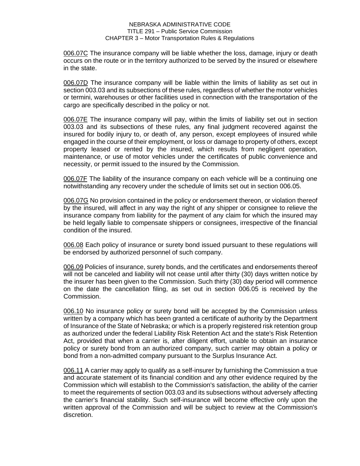006.07C The insurance company will be liable whether the loss, damage, injury or death occurs on the route or in the territory authorized to be served by the insured or elsewhere in the state.

006.07D The insurance company will be liable within the limits of liability as set out in section 003.03 and its subsections of these rules, regardless of whether the motor vehicles or termini, warehouses or other facilities used in connection with the transportation of the cargo are specifically described in the policy or not.

006.07E The insurance company will pay, within the limits of liability set out in section 003.03 and its subsections of these rules, any final judgment recovered against the insured for bodily injury to, or death of, any person, except employees of insured while engaged in the course of their employment, or loss or damage to property of others, except property leased or rented by the insured, which results from negligent operation, maintenance, or use of motor vehicles under the certificates of public convenience and necessity, or permit issued to the insured by the Commission.

006.07F The liability of the insurance company on each vehicle will be a continuing one notwithstanding any recovery under the schedule of limits set out in section 006.05.

006.07G No provision contained in the policy or endorsement thereon, or violation thereof by the insured, will affect in any way the right of any shipper or consignee to relieve the insurance company from liability for the payment of any claim for which the insured may be held legally liable to compensate shippers or consignees, irrespective of the financial condition of the insured.

006.08 Each policy of insurance or surety bond issued pursuant to these regulations will be endorsed by authorized personnel of such company.

006.09 Policies of insurance, surety bonds, and the certificates and endorsements thereof will not be canceled and liability will not cease until after thirty (30) days written notice by the insurer has been given to the Commission. Such thirty (30) day period will commence on the date the cancellation filing, as set out in section 006.05 is received by the Commission.

006.10 No insurance policy or surety bond will be accepted by the Commission unless written by a company which has been granted a certificate of authority by the Department of Insurance of the State of Nebraska; or which is a properly registered risk retention group as authorized under the federal Liability Risk Retention Act and the state's Risk Retention Act, provided that when a carrier is, after diligent effort, unable to obtain an insurance policy or surety bond from an authorized company, such carrier may obtain a policy or bond from a non-admitted company pursuant to the Surplus Insurance Act.

006.11 A carrier may apply to qualify as a self-insurer by furnishing the Commission a true and accurate statement of its financial condition and any other evidence required by the Commission which will establish to the Commission's satisfaction, the ability of the carrier to meet the requirements of section 003.03 and its subsections without adversely affecting the carrier's financial stability. Such self-insurance will become effective only upon the written approval of the Commission and will be subject to review at the Commission's discretion.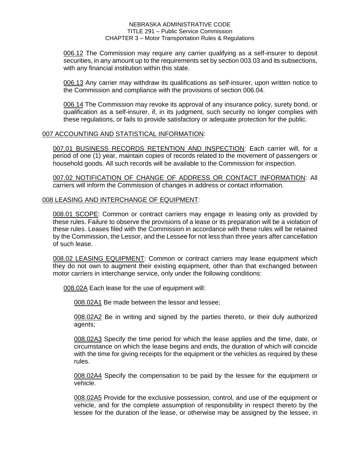006.12 The Commission may require any carrier qualifying as a self-insurer to deposit securities, in any amount up to the requirements set by section 003.03 and its subsections, with any financial institution within this state.

006.13 Any carrier may withdraw its qualifications as self-insurer, upon written notice to the Commission and compliance with the provisions of section 006.04.

006.14 The Commission may revoke its approval of any insurance policy, surety bond, or qualification as a self-insurer, if, in its judgment, such security no longer complies with these regulations, or fails to provide satisfactory or adequate protection for the public.

# 007 ACCOUNTING AND STATISTICAL INFORMATION:

007.01 BUSINESS RECORDS RETENTION AND INSPECTION: Each carrier will, for a period of one (1) year, maintain copies of records related to the movement of passengers or household goods. All such records will be available to the Commission for inspection.

007.02 NOTIFICATION OF CHANGE OF ADDRESS OR CONTACT INFORMATION: All carriers will inform the Commission of changes in address or contact information.

# 008 LEASING AND INTERCHANGE OF EQUIPMENT:

008.01 SCOPE: Common or contract carriers may engage in leasing only as provided by these rules. Failure to observe the provisions of a lease or its preparation will be a violation of these rules. Leases filed with the Commission in accordance with these rules will be retained by the Commission, the Lessor, and the Lessee for not less than three years after cancellation of such lease.

008.02 LEASING EQUIPMENT: Common or contract carriers may lease equipment which they do not own to augment their existing equipment, other than that exchanged between motor carriers in interchange service, only under the following conditions:

008.02A Each lease for the use of equipment will:

008.02A1 Be made between the lessor and lessee;

008.02A2 Be in writing and signed by the parties thereto, or their duly authorized agents;

008.02A3 Specify the time period for which the lease applies and the time, date, or circumstance on which the lease begins and ends, the duration of which will coincide with the time for giving receipts for the equipment or the vehicles as required by these rules.

008.02A4 Specify the compensation to be paid by the lessee for the equipment or vehicle.

008.02A5 Provide for the exclusive possession, control, and use of the equipment or vehicle, and for the complete assumption of responsibility in respect thereto by the lessee for the duration of the lease, or otherwise may be assigned by the lessee, in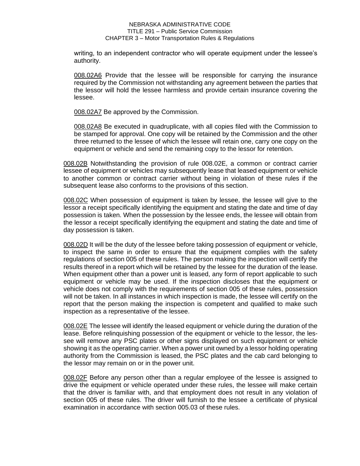writing, to an independent contractor who will operate equipment under the lessee's authority.

008.02A6 Provide that the lessee will be responsible for carrying the insurance required by the Commission not withstanding any agreement between the parties that the lessor will hold the lessee harmless and provide certain insurance covering the lessee.

008.02A7 Be approved by the Commission.

008.02A8 Be executed in quadruplicate, with all copies filed with the Commission to be stamped for approval. One copy will be retained by the Commission and the other three returned to the lessee of which the lessee will retain one, carry one copy on the equipment or vehicle and send the remaining copy to the lessor for retention.

008.02B Notwithstanding the provision of rule 008.02E, a common or contract carrier lessee of equipment or vehicles may subsequently lease that leased equipment or vehicle to another common or contract carrier without being in violation of these rules if the subsequent lease also conforms to the provisions of this section.

008.02C When possession of equipment is taken by lessee, the lessee will give to the lessor a receipt specifically identifying the equipment and stating the date and time of day possession is taken. When the possession by the lessee ends, the lessee will obtain from the lessor a receipt specifically identifying the equipment and stating the date and time of day possession is taken.

008.02D It will be the duty of the lessee before taking possession of equipment or vehicle, to inspect the same in order to ensure that the equipment complies with the safety regulations of section 005 of these rules. The person making the inspection will certify the results thereof in a report which will be retained by the lessee for the duration of the lease. When equipment other than a power unit is leased, any form of report applicable to such equipment or vehicle may be used. If the inspection discloses that the equipment or vehicle does not comply with the requirements of section 005 of these rules, possession will not be taken. In all instances in which inspection is made, the lessee will certify on the report that the person making the inspection is competent and qualified to make such inspection as a representative of the lessee.

008.02E The lessee will identify the leased equipment or vehicle during the duration of the lease. Before relinquishing possession of the equipment or vehicle to the lessor, the lessee will remove any PSC plates or other signs displayed on such equipment or vehicle showing it as the operating carrier. When a power unit owned by a lessor holding operating authority from the Commission is leased, the PSC plates and the cab card belonging to the lessor may remain on or in the power unit.

008.02F Before any person other than a regular employee of the lessee is assigned to drive the equipment or vehicle operated under these rules, the lessee will make certain that the driver is familiar with, and that employment does not result in any violation of section 005 of these rules. The driver will furnish to the lessee a certificate of physical examination in accordance with section 005.03 of these rules.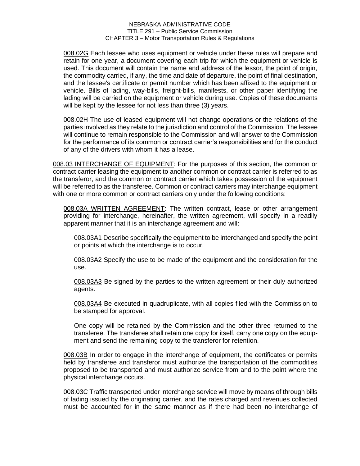008.02G Each lessee who uses equipment or vehicle under these rules will prepare and retain for one year, a document covering each trip for which the equipment or vehicle is used. This document will contain the name and address of the lessor, the point of origin, the commodity carried, if any, the time and date of departure, the point of final destination, and the lessee's certificate or permit number which has been affixed to the equipment or vehicle. Bills of lading, way-bills, freight-bills, manifests, or other paper identifying the lading will be carried on the equipment or vehicle during use. Copies of these documents will be kept by the lessee for not less than three (3) years.

008.02H The use of leased equipment will not change operations or the relations of the parties involved as they relate to the jurisdiction and control of the Commission. The lessee will continue to remain responsible to the Commission and will answer to the Commission for the performance of its common or contract carrier's responsibilities and for the conduct of any of the drivers with whom it has a lease.

008.03 INTERCHANGE OF EQUIPMENT: For the purposes of this section, the common or contract carrier leasing the equipment to another common or contract carrier is referred to as the transferor, and the common or contract carrier which takes possession of the equipment will be referred to as the transferee. Common or contract carriers may interchange equipment with one or more common or contract carriers only under the following conditions:

008.03A WRITTEN AGREEMENT: The written contract, lease or other arrangement providing for interchange, hereinafter, the written agreement, will specify in a readily apparent manner that it is an interchange agreement and will:

008.03A1 Describe specifically the equipment to be interchanged and specify the point or points at which the interchange is to occur.

008.03A2 Specify the use to be made of the equipment and the consideration for the use.

008.03A3 Be signed by the parties to the written agreement or their duly authorized agents.

008.03A4 Be executed in quadruplicate, with all copies filed with the Commission to be stamped for approval.

One copy will be retained by the Commission and the other three returned to the transferee. The transferee shall retain one copy for itself, carry one copy on the equipment and send the remaining copy to the transferor for retention.

008.03B In order to engage in the interchange of equipment, the certificates or permits held by transferee and transferor must authorize the transportation of the commodities proposed to be transported and must authorize service from and to the point where the physical interchange occurs.

008.03C Traffic transported under interchange service will move by means of through bills of lading issued by the originating carrier, and the rates charged and revenues collected must be accounted for in the same manner as if there had been no interchange of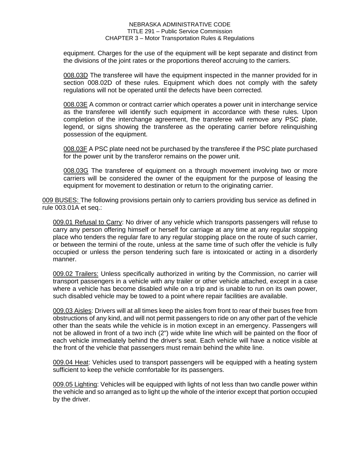equipment. Charges for the use of the equipment will be kept separate and distinct from the divisions of the joint rates or the proportions thereof accruing to the carriers.

008.03D The transferee will have the equipment inspected in the manner provided for in section 008.02D of these rules. Equipment which does not comply with the safety regulations will not be operated until the defects have been corrected.

008.03E A common or contract carrier which operates a power unit in interchange service as the transferee will identify such equipment in accordance with these rules. Upon completion of the interchange agreement, the transferee will remove any PSC plate, legend, or signs showing the transferee as the operating carrier before relinquishing possession of the equipment.

008.03F A PSC plate need not be purchased by the transferee if the PSC plate purchased for the power unit by the transferor remains on the power unit.

008.03G The transferee of equipment on a through movement involving two or more carriers will be considered the owner of the equipment for the purpose of leasing the equipment for movement to destination or return to the originating carrier.

009 BUSES: The following provisions pertain only to carriers providing bus service as defined in rule 003.01A et seq.:

009.01 Refusal to Carry: No driver of any vehicle which transports passengers will refuse to carry any person offering himself or herself for carriage at any time at any regular stopping place who tenders the regular fare to any regular stopping place on the route of such carrier, or between the termini of the route, unless at the same time of such offer the vehicle is fully occupied or unless the person tendering such fare is intoxicated or acting in a disorderly manner.

009.02 Trailers: Unless specifically authorized in writing by the Commission, no carrier will transport passengers in a vehicle with any trailer or other vehicle attached, except in a case where a vehicle has become disabled while on a trip and is unable to run on its own power, such disabled vehicle may be towed to a point where repair facilities are available.

009.03 Aisles: Drivers will at all times keep the aisles from front to rear of their buses free from obstructions of any kind, and will not permit passengers to ride on any other part of the vehicle other than the seats while the vehicle is in motion except in an emergency. Passengers will not be allowed in front of a two inch (2") wide white line which will be painted on the floor of each vehicle immediately behind the driver's seat. Each vehicle will have a notice visible at the front of the vehicle that passengers must remain behind the white line.

009.04 Heat: Vehicles used to transport passengers will be equipped with a heating system sufficient to keep the vehicle comfortable for its passengers.

009.05 Lighting: Vehicles will be equipped with lights of not less than two candle power within the vehicle and so arranged as to light up the whole of the interior except that portion occupied by the driver.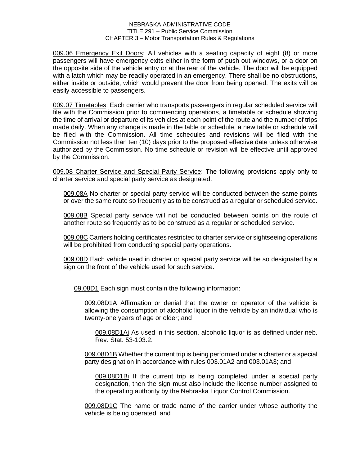009.06 Emergency Exit Doors: All vehicles with a seating capacity of eight (8) or more passengers will have emergency exits either in the form of push out windows, or a door on the opposite side of the vehicle entry or at the rear of the vehicle. The door will be equipped with a latch which may be readily operated in an emergency. There shall be no obstructions, either inside or outside, which would prevent the door from being opened. The exits will be easily accessible to passengers.

009.07 Timetables: Each carrier who transports passengers in regular scheduled service will file with the Commission prior to commencing operations, a timetable or schedule showing the time of arrival or departure of its vehicles at each point of the route and the number of trips made daily. When any change is made in the table or schedule, a new table or schedule will be filed with the Commission. All time schedules and revisions will be filed with the Commission not less than ten (10) days prior to the proposed effective date unless otherwise authorized by the Commission. No time schedule or revision will be effective until approved by the Commission.

009.08 Charter Service and Special Party Service: The following provisions apply only to charter service and special party service as designated.

009.08A No charter or special party service will be conducted between the same points or over the same route so frequently as to be construed as a regular or scheduled service.

009.08B Special party service will not be conducted between points on the route of another route so frequently as to be construed as a regular or scheduled service.

009.08C Carriers holding certificates restricted to charter service or sightseeing operations will be prohibited from conducting special party operations.

009.08D Each vehicle used in charter or special party service will be so designated by a sign on the front of the vehicle used for such service.

09.08D1 Each sign must contain the following information:

009.08D1A Affirmation or denial that the owner or operator of the vehicle is allowing the consumption of alcoholic liquor in the vehicle by an individual who is twenty-one years of age or older; and

009.08D1Ai As used in this section, alcoholic liquor is as defined under neb. Rev. Stat. 53-103.2.

009.08D1B Whether the current trip is being performed under a charter or a special party designation in accordance with rules 003.01A2 and 003.01A3; and

009.08D1Bi If the current trip is being completed under a special party designation, then the sign must also include the license number assigned to the operating authority by the Nebraska Liquor Control Commission.

009.08D1C The name or trade name of the carrier under whose authority the vehicle is being operated; and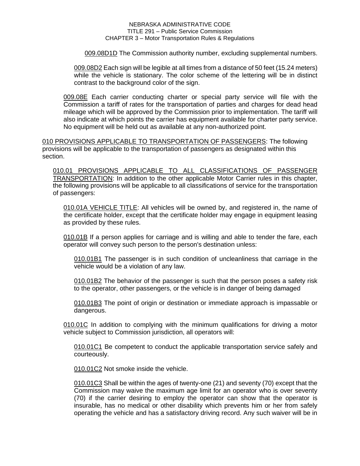009.08D1D The Commission authority number, excluding supplemental numbers.

009.08D2 Each sign will be legible at all times from a distance of 50 feet (15.24 meters) while the vehicle is stationary. The color scheme of the lettering will be in distinct contrast to the background color of the sign.

009.08E Each carrier conducting charter or special party service will file with the Commission a tariff of rates for the transportation of parties and charges for dead head mileage which will be approved by the Commission prior to implementation. The tariff will also indicate at which points the carrier has equipment available for charter party service. No equipment will be held out as available at any non-authorized point.

010 PROVISIONS APPLICABLE TO TRANSPORTATION OF PASSENGERS: The following provisions will be applicable to the transportation of passengers as designated within this section.

010.01 PROVISIONS APPLICABLE TO ALL CLASSIFICATIONS OF PASSENGER TRANSPORTATION: In addition to the other applicable Motor Carrier rules in this chapter, the following provisions will be applicable to all classifications of service for the transportation of passengers:

010.01A VEHICLE TITLE: All vehicles will be owned by, and registered in, the name of the certificate holder, except that the certificate holder may engage in equipment leasing as provided by these rules.

010.01B If a person applies for carriage and is willing and able to tender the fare, each operator will convey such person to the person's destination unless:

010.01B1 The passenger is in such condition of uncleanliness that carriage in the vehicle would be a violation of any law.

010.01B2 The behavior of the passenger is such that the person poses a safety risk to the operator, other passengers, or the vehicle is in danger of being damaged

010.01B3 The point of origin or destination or immediate approach is impassable or dangerous.

010.01C In addition to complying with the minimum qualifications for driving a motor vehicle subject to Commission jurisdiction, all operators will:

010.01C1 Be competent to conduct the applicable transportation service safely and courteously.

010.01C2 Not smoke inside the vehicle.

010.01C3 Shall be within the ages of twenty-one (21) and seventy (70) except that the Commission may waive the maximum age limit for an operator who is over seventy (70) if the carrier desiring to employ the operator can show that the operator is insurable, has no medical or other disability which prevents him or her from safely operating the vehicle and has a satisfactory driving record. Any such waiver will be in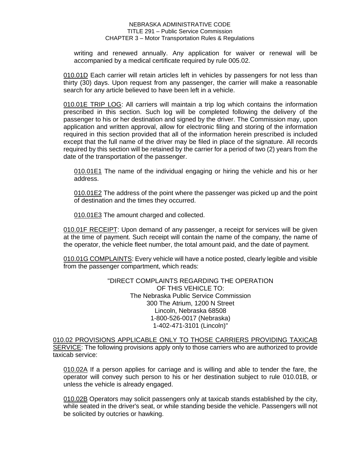writing and renewed annually. Any application for waiver or renewal will be accompanied by a medical certificate required by rule 005.02.

010.01D Each carrier will retain articles left in vehicles by passengers for not less than thirty (30) days. Upon request from any passenger, the carrier will make a reasonable search for any article believed to have been left in a vehicle.

010.01E TRIP LOG: All carriers will maintain a trip log which contains the information prescribed in this section. Such log will be completed following the delivery of the passenger to his or her destination and signed by the driver. The Commission may, upon application and written approval, allow for electronic filing and storing of the information required in this section provided that all of the information herein prescribed is included except that the full name of the driver may be filed in place of the signature. All records required by this section will be retained by the carrier for a period of two (2) years from the date of the transportation of the passenger.

010.01E1 The name of the individual engaging or hiring the vehicle and his or her address.

010.01E2 The address of the point where the passenger was picked up and the point of destination and the times they occurred.

010.01E3 The amount charged and collected.

010.01F RECEIPT: Upon demand of any passenger, a receipt for services will be given at the time of payment. Such receipt will contain the name of the company, the name of the operator, the vehicle fleet number, the total amount paid, and the date of payment.

010.01G COMPLAINTS: Every vehicle will have a notice posted, clearly legible and visible from the passenger compartment, which reads:

> "DIRECT COMPLAINTS REGARDING THE OPERATION OF THIS VEHICLE TO: The Nebraska Public Service Commission 300 The Atrium, 1200 N Street Lincoln, Nebraska 68508 1-800-526-0017 (Nebraska) 1-402-471-3101 (Lincoln)"

010.02 PROVISIONS APPLICABLE ONLY TO THOSE CARRIERS PROVIDING TAXICAB SERVICE: The following provisions apply only to those carriers who are authorized to provide taxicab service:

010.02A If a person applies for carriage and is willing and able to tender the fare, the operator will convey such person to his or her destination subject to rule 010.01B, or unless the vehicle is already engaged.

010.02B Operators may solicit passengers only at taxicab stands established by the city, while seated in the driver's seat, or while standing beside the vehicle. Passengers will not be solicited by outcries or hawking.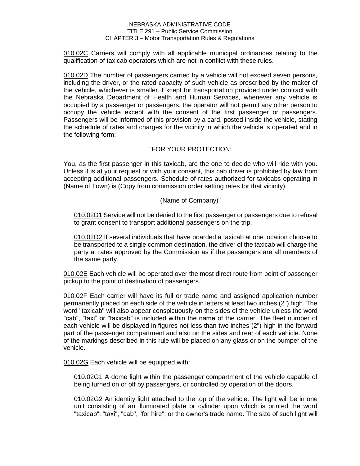010.02C Carriers will comply with all applicable municipal ordinances relating to the qualification of taxicab operators which are not in conflict with these rules.

010.02D The number of passengers carried by a vehicle will not exceed seven persons, including the driver, or the rated capacity of such vehicle as prescribed by the maker of the vehicle, whichever is smaller. Except for transportation provided under contract with the Nebraska Department of Health and Human Services, whenever any vehicle is occupied by a passenger or passengers, the operator will not permit any other person to occupy the vehicle except with the consent of the first passenger or passengers. Passengers will be informed of this provision by a card, posted inside the vehicle, stating the schedule of rates and charges for the vicinity in which the vehicle is operated and in the following form:

# "FOR YOUR PROTECTION:

You, as the first passenger in this taxicab, are the one to decide who will ride with you. Unless it is at your request or with your consent, this cab driver is prohibited by law from accepting additional passengers. Schedule of rates authorized for taxicabs operating in (Name of Town) is (Copy from commission order setting rates for that vicinity).

# (Name of Company)"

010.02D1 Service will not be denied to the first passenger or passengers due to refusal to grant consent to transport additional passengers on the trip.

010.02D2 If several individuals that have boarded a taxicab at one location choose to be transported to a single common destination, the driver of the taxicab will charge the party at rates approved by the Commission as if the passengers are all members of the same party.

010.02E Each vehicle will be operated over the most direct route from point of passenger pickup to the point of destination of passengers.

010.02F Each carrier will have its full or trade name and assigned application number permanently placed on each side of the vehicle in letters at least two inches (2") high. The word "taxicab" will also appear conspicuously on the sides of the vehicle unless the word "cab", "taxi" or "taxicab" is included within the name of the carrier. The fleet number of each vehicle will be displayed in figures not less than two inches (2") high in the forward part of the passenger compartment and also on the sides and rear of each vehicle. None of the markings described in this rule will be placed on any glass or on the bumper of the vehicle.

010.02G Each vehicle will be equipped with:

010.02G1 A dome light within the passenger compartment of the vehicle capable of being turned on or off by passengers, or controlled by operation of the doors.

010.02G2 An identity light attached to the top of the vehicle. The light will be in one unit consisting of an illuminated plate or cylinder upon which is printed the word "taxicab", "taxi", "cab", "for hire", or the owner's trade name. The size of such light will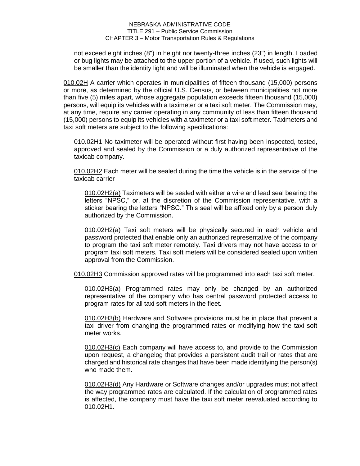not exceed eight inches (8") in height nor twenty-three inches (23") in length. Loaded or bug lights may be attached to the upper portion of a vehicle. If used, such lights will be smaller than the identity light and will be illuminated when the vehicle is engaged.

010.02H A carrier which operates in municipalities of fifteen thousand (15,000) persons or more, as determined by the official U.S. Census, or between municipalities not more than five (5) miles apart, whose aggregate population exceeds fifteen thousand (15,000) persons, will equip its vehicles with a taximeter or a taxi soft meter. The Commission may, at any time, require any carrier operating in any community of less than fifteen thousand (15,000) persons to equip its vehicles with a taximeter or a taxi soft meter. Taximeters and taxi soft meters are subject to the following specifications:

010.02H1 No taximeter will be operated without first having been inspected, tested, approved and sealed by the Commission or a duly authorized representative of the taxicab company.

010.02H2 Each meter will be sealed during the time the vehicle is in the service of the taxicab carrier

010.02H2(a) Taximeters will be sealed with either a wire and lead seal bearing the letters "NPSC," or, at the discretion of the Commission representative, with a sticker bearing the letters "NPSC." This seal will be affixed only by a person duly authorized by the Commission.

010.02H2(a) Taxi soft meters will be physically secured in each vehicle and password protected that enable only an authorized representative of the company to program the taxi soft meter remotely. Taxi drivers may not have access to or program taxi soft meters. Taxi soft meters will be considered sealed upon written approval from the Commission.

010.02H3 Commission approved rates will be programmed into each taxi soft meter.

010.02H3(a) Programmed rates may only be changed by an authorized representative of the company who has central password protected access to program rates for all taxi soft meters in the fleet.

010.02H3(b) Hardware and Software provisions must be in place that prevent a taxi driver from changing the programmed rates or modifying how the taxi soft meter works.

010.02H3(c) Each company will have access to, and provide to the Commission upon request, a changelog that provides a persistent audit trail or rates that are charged and historical rate changes that have been made identifying the person(s) who made them.

010.02H3(d) Any Hardware or Software changes and/or upgrades must not affect the way programmed rates are calculated. If the calculation of programmed rates is affected, the company must have the taxi soft meter reevaluated according to 010.02H1.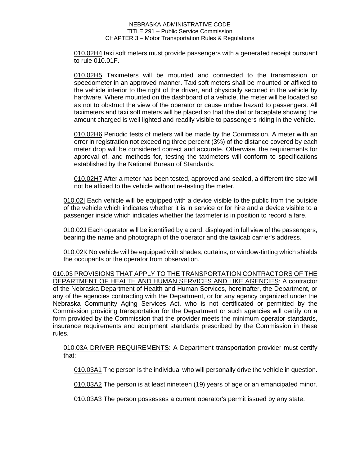010.02H4 taxi soft meters must provide passengers with a generated receipt pursuant to rule 010.01F.

010.02H5 Taximeters will be mounted and connected to the transmission or speedometer in an approved manner. Taxi soft meters shall be mounted or affixed to the vehicle interior to the right of the driver, and physically secured in the vehicle by hardware. Where mounted on the dashboard of a vehicle, the meter will be located so as not to obstruct the view of the operator or cause undue hazard to passengers. All taximeters and taxi soft meters will be placed so that the dial or faceplate showing the amount charged is well lighted and readily visible to passengers riding in the vehicle.

010.02H6 Periodic tests of meters will be made by the Commission. A meter with an error in registration not exceeding three percent (3%) of the distance covered by each meter drop will be considered correct and accurate. Otherwise, the requirements for approval of, and methods for, testing the taximeters will conform to specifications established by the National Bureau of Standards.

010.02H7 After a meter has been tested, approved and sealed, a different tire size will not be affixed to the vehicle without re-testing the meter.

010.02I Each vehicle will be equipped with a device visible to the public from the outside of the vehicle which indicates whether it is in service or for hire and a device visible to a passenger inside which indicates whether the taximeter is in position to record a fare.

010.02J Each operator will be identified by a card, displayed in full view of the passengers, bearing the name and photograph of the operator and the taxicab carrier's address.

010.02K No vehicle will be equipped with shades, curtains, or window-tinting which shields the occupants or the operator from observation.

010.03 PROVISIONS THAT APPLY TO THE TRANSPORTATION CONTRACTORS OF THE DEPARTMENT OF HEALTH AND HUMAN SERVICES AND LIKE AGENCIES: A contractor of the Nebraska Department of Health and Human Services, hereinafter, the Department, or any of the agencies contracting with the Department, or for any agency organized under the Nebraska Community Aging Services Act, who is not certificated or permitted by the Commission providing transportation for the Department or such agencies will certify on a form provided by the Commission that the provider meets the minimum operator standards, insurance requirements and equipment standards prescribed by the Commission in these rules.

010.03A DRIVER REQUIREMENTS: A Department transportation provider must certify that:

010.03A1 The person is the individual who will personally drive the vehicle in question.

010.03A2 The person is at least nineteen (19) years of age or an emancipated minor.

010.03A3 The person possesses a current operator's permit issued by any state.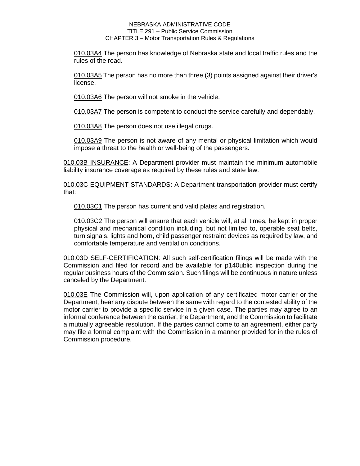010.03A4 The person has knowledge of Nebraska state and local traffic rules and the rules of the road.

010.03A5 The person has no more than three (3) points assigned against their driver's license.

010.03A6 The person will not smoke in the vehicle.

010.03A7 The person is competent to conduct the service carefully and dependably.

010.03A8 The person does not use illegal drugs.

010.03A9 The person is not aware of any mental or physical limitation which would impose a threat to the health or well-being of the passengers.

010.03B INSURANCE: A Department provider must maintain the minimum automobile liability insurance coverage as required by these rules and state law.

010.03C EQUIPMENT STANDARDS: A Department transportation provider must certify that:

010.03C1 The person has current and valid plates and registration.

010.03C2 The person will ensure that each vehicle will, at all times, be kept in proper physical and mechanical condition including, but not limited to, operable seat belts, turn signals, lights and horn, child passenger restraint devices as required by law, and comfortable temperature and ventilation conditions.

010.03D SELF-CERTIFICATION: All such self-certification filings will be made with the Commission and filed for record and be available for p140ublic inspection during the regular business hours of the Commission. Such filings will be continuous in nature unless canceled by the Department.

010.03E The Commission will, upon application of any certificated motor carrier or the Department, hear any dispute between the same with regard to the contested ability of the motor carrier to provide a specific service in a given case. The parties may agree to an informal conference between the carrier, the Department, and the Commission to facilitate a mutually agreeable resolution. If the parties cannot come to an agreement, either party may file a formal complaint with the Commission in a manner provided for in the rules of Commission procedure.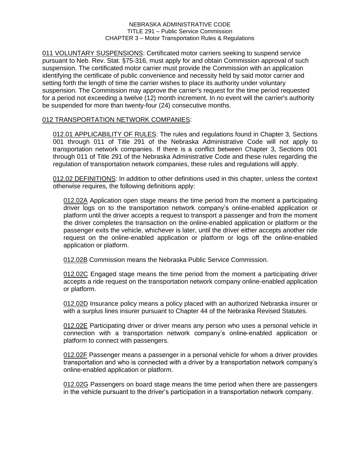011 VOLUNTARY SUSPENSIONS: Certificated motor carriers seeking to suspend service pursuant to Neb. Rev. Stat. §75-316, must apply for and obtain Commission approval of such suspension. The certificated motor carrier must provide the Commission with an application identifying the certificate of public convenience and necessity held by said motor carrier and setting forth the length of time the carrier wishes to place its authority under voluntary suspension. The Commission may approve the carrier's request for the time period requested for a period not exceeding a twelve (12) month increment. In no event will the carrier's authority be suspended for more than twenty-four (24) consecutive months.

# 012 TRANSPORTATION NETWORK COMPANIES:

012.01 APPLICABILITY OF RULES: The rules and regulations found in Chapter 3, Sections 001 through 011 of Title 291 of the Nebraska Administrative Code will not apply to transportation network companies. If there is a conflict between Chapter 3, Sections 001 through 011 of Title 291 of the Nebraska Administrative Code and these rules regarding the regulation of transportation network companies, these rules and regulations will apply.

012.02 DEFINITIONS: In addition to other definitions used in this chapter, unless the context otherwise requires, the following definitions apply:

012.02A Application open stage means the time period from the moment a participating driver logs on to the transportation network company's online-enabled application or platform until the driver accepts a request to transport a passenger and from the moment the driver completes the transaction on the online-enabled application or platform or the passenger exits the vehicle, whichever is later, until the driver either accepts another ride request on the online-enabled application or platform or logs off the online-enabled application or platform.

012.02B Commission means the Nebraska Public Service Commission.

012.02C Engaged stage means the time period from the moment a participating driver accepts a ride request on the transportation network company online-enabled application or platform.

012.02D Insurance policy means a policy placed with an authorized Nebraska insurer or with a surplus lines insurer pursuant to Chapter 44 of the Nebraska Revised Statutes.

012.02E Participating driver or driver means any person who uses a personal vehicle in connection with a transportation network company's online-enabled application or platform to connect with passengers.

012.02F Passenger means a passenger in a personal vehicle for whom a driver provides transportation and who is connected with a driver by a transportation network company's online-enabled application or platform.

012.02G Passengers on board stage means the time period when there are passengers in the vehicle pursuant to the driver's participation in a transportation network company.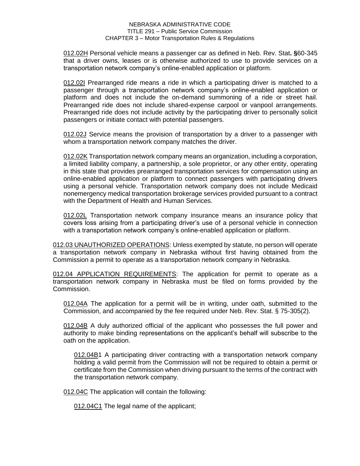012.02H Personal vehicle means a passenger car as defined in Neb. Rev. Stat**. §**60-345 that a driver owns, leases or is otherwise authorized to use to provide services on a transportation network company's online-enabled application or platform.

012.02I Prearranged ride means a ride in which a participating driver is matched to a passenger through a transportation network company's online-enabled application or platform and does not include the on-demand summoning of a ride or street hail. Prearranged ride does not include shared-expense carpool or vanpool arrangements. Prearranged ride does not include activity by the participating driver to personally solicit passengers or initiate contact with potential passengers.

012.02J Service means the provision of transportation by a driver to a passenger with whom a transportation network company matches the driver.

012.02K Transportation network company means an organization, including a corporation, a limited liability company, a partnership, a sole proprietor, or any other entity, operating in this state that provides prearranged transportation services for compensation using an online-enabled application or platform to connect passengers with participating drivers using a personal vehicle. Transportation network company does not include Medicaid nonemergency medical transportation brokerage services provided pursuant to a contract with the Department of Health and Human Services.

012.02L Transportation network company insurance means an insurance policy that covers loss arising from a participating driver's use of a personal vehicle in connection with a transportation network company's online-enabled application or platform.

012.03 UNAUTHORIZED OPERATIONS: Unless exempted by statute, no person will operate a transportation network company in Nebraska without first having obtained from the Commission a permit to operate as a transportation network company in Nebraska.

012.04 APPLICATION REQUIREMENTS: The application for permit to operate as a transportation network company in Nebraska must be filed on forms provided by the Commission.

012.04A The application for a permit will be in writing, under oath, submitted to the Commission, and accompanied by the fee required under Neb. Rev. Stat. § 75-305(2).

012.04B A duly authorized official of the applicant who possesses the full power and authority to make binding representations on the applicant's behalf will subscribe to the oath on the application.

012.04B1 A participating driver contracting with a transportation network company holding a valid permit from the Commission will not be required to obtain a permit or certificate from the Commission when driving pursuant to the terms of the contract with the transportation network company.

012.04C The application will contain the following:

012.04C1 The legal name of the applicant;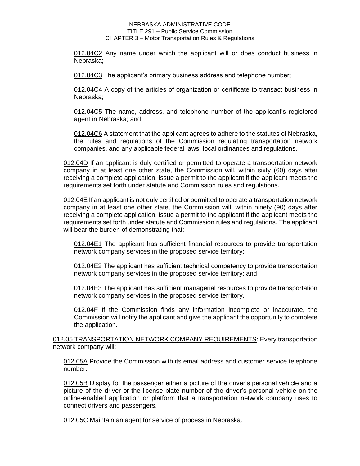012.04C2 Any name under which the applicant will or does conduct business in Nebraska;

012.04C3 The applicant's primary business address and telephone number;

012.04C4 A copy of the articles of organization or certificate to transact business in Nebraska;

012.04C5 The name, address, and telephone number of the applicant's registered agent in Nebraska; and

012.04C6 A statement that the applicant agrees to adhere to the statutes of Nebraska, the rules and regulations of the Commission regulating transportation network companies, and any applicable federal laws, local ordinances and regulations.

012.04D If an applicant is duly certified or permitted to operate a transportation network company in at least one other state, the Commission will, within sixty (60) days after receiving a complete application, issue a permit to the applicant if the applicant meets the requirements set forth under statute and Commission rules and regulations.

012.04E If an applicant is not duly certified or permitted to operate a transportation network company in at least one other state, the Commission will, within ninety (90) days after receiving a complete application, issue a permit to the applicant if the applicant meets the requirements set forth under statute and Commission rules and regulations. The applicant will bear the burden of demonstrating that:

012.04E1 The applicant has sufficient financial resources to provide transportation network company services in the proposed service territory;

012.04E2 The applicant has sufficient technical competency to provide transportation network company services in the proposed service territory; and

012.04E3 The applicant has sufficient managerial resources to provide transportation network company services in the proposed service territory.

012.04F If the Commission finds any information incomplete or inaccurate, the Commission will notify the applicant and give the applicant the opportunity to complete the application.

012.05 TRANSPORTATION NETWORK COMPANY REQUIREMENTS: Every transportation network company will:

012.05A Provide the Commission with its email address and customer service telephone number.

012.05B Display for the passenger either a picture of the driver's personal vehicle and a picture of the driver or the license plate number of the driver's personal vehicle on the online-enabled application or platform that a transportation network company uses to connect drivers and passengers.

012.05C Maintain an agent for service of process in Nebraska.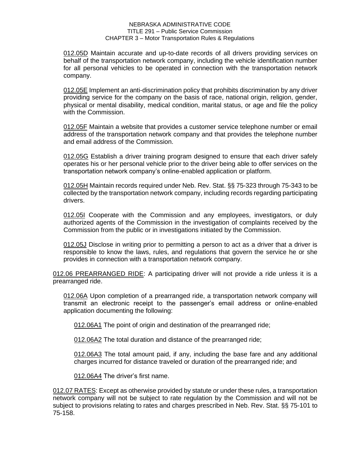012.05D Maintain accurate and up-to-date records of all drivers providing services on behalf of the transportation network company, including the vehicle identification number for all personal vehicles to be operated in connection with the transportation network company.

012.05E Implement an anti-discrimination policy that prohibits discrimination by any driver providing service for the company on the basis of race, national origin, religion, gender, physical or mental disability, medical condition, marital status, or age and file the policy with the Commission.

012.05F Maintain a website that provides a customer service telephone number or email address of the transportation network company and that provides the telephone number and email address of the Commission.

012.05G Establish a driver training program designed to ensure that each driver safely operates his or her personal vehicle prior to the driver being able to offer services on the transportation network company's online-enabled application or platform.

012.05H Maintain records required under Neb. Rev. Stat. §§ 75-323 through 75-343 to be collected by the transportation network company, including records regarding participating drivers.

012.05I Cooperate with the Commission and any employees, investigators, or duly authorized agents of the Commission in the investigation of complaints received by the Commission from the public or in investigations initiated by the Commission.

012.05J Disclose in writing prior to permitting a person to act as a driver that a driver is responsible to know the laws, rules, and regulations that govern the service he or she provides in connection with a transportation network company.

012.06 PREARRANGED RIDE: A participating driver will not provide a ride unless it is a prearranged ride.

012.06A Upon completion of a prearranged ride, a transportation network company will transmit an electronic receipt to the passenger's email address or online-enabled application documenting the following:

012.06A1 The point of origin and destination of the prearranged ride;

012.06A2 The total duration and distance of the prearranged ride;

012.06A3 The total amount paid, if any, including the base fare and any additional charges incurred for distance traveled or duration of the prearranged ride; and

012.06A4 The driver's first name.

012.07 RATES: Except as otherwise provided by statute or under these rules, a transportation network company will not be subject to rate regulation by the Commission and will not be subject to provisions relating to rates and charges prescribed in Neb. Rev. Stat. §§ 75-101 to 75-158.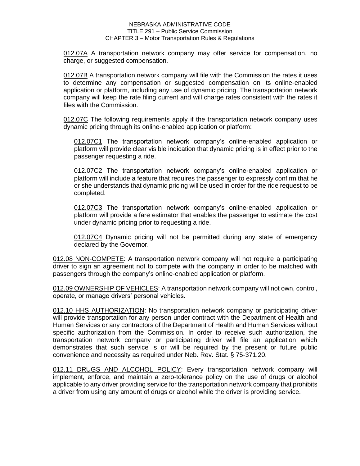012.07A A transportation network company may offer service for compensation, no charge, or suggested compensation.

012.07B A transportation network company will file with the Commission the rates it uses to determine any compensation or suggested compensation on its online-enabled application or platform, including any use of dynamic pricing. The transportation network company will keep the rate filing current and will charge rates consistent with the rates it files with the Commission.

012.07C The following requirements apply if the transportation network company uses dynamic pricing through its online-enabled application or platform:

012.07C1 The transportation network company's online-enabled application or platform will provide clear visible indication that dynamic pricing is in effect prior to the passenger requesting a ride.

012.07C2 The transportation network company's online-enabled application or platform will include a feature that requires the passenger to expressly confirm that he or she understands that dynamic pricing will be used in order for the ride request to be completed.

012.07C3 The transportation network company's online-enabled application or platform will provide a fare estimator that enables the passenger to estimate the cost under dynamic pricing prior to requesting a ride.

012.07C4 Dynamic pricing will not be permitted during any state of emergency declared by the Governor.

012.08 NON-COMPETE: A transportation network company will not require a participating driver to sign an agreement not to compete with the company in order to be matched with passengers through the company's online-enabled application or platform.

012.09 OWNERSHIP OF VEHICLES: A transportation network company will not own, control, operate, or manage drivers' personal vehicles.

012.10 HHS AUTHORIZATION: No transportation network company or participating driver will provide transportation for any person under contract with the Department of Health and Human Services or any contractors of the Department of Health and Human Services without specific authorization from the Commission. In order to receive such authorization, the transportation network company or participating driver will file an application which demonstrates that such service is or will be required by the present or future public convenience and necessity as required under Neb. Rev. Stat. § 75-371.20.

012.11 DRUGS AND ALCOHOL POLICY: Every transportation network company will implement, enforce, and maintain a zero-tolerance policy on the use of drugs or alcohol applicable to any driver providing service for the transportation network company that prohibits a driver from using any amount of drugs or alcohol while the driver is providing service.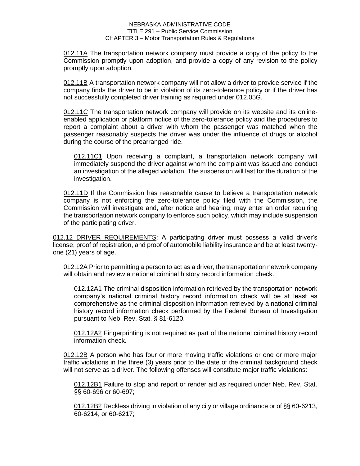012.11A The transportation network company must provide a copy of the policy to the Commission promptly upon adoption, and provide a copy of any revision to the policy promptly upon adoption.

012.11B A transportation network company will not allow a driver to provide service if the company finds the driver to be in violation of its zero-tolerance policy or if the driver has not successfully completed driver training as required under 012.05G.

012.11C The transportation network company will provide on its website and its onlineenabled application or platform notice of the zero-tolerance policy and the procedures to report a complaint about a driver with whom the passenger was matched when the passenger reasonably suspects the driver was under the influence of drugs or alcohol during the course of the prearranged ride.

012.11C1 Upon receiving a complaint, a transportation network company will immediately suspend the driver against whom the complaint was issued and conduct an investigation of the alleged violation. The suspension will last for the duration of the investigation.

012.11D If the Commission has reasonable cause to believe a transportation network company is not enforcing the zero-tolerance policy filed with the Commission, the Commission will investigate and, after notice and hearing, may enter an order requiring the transportation network company to enforce such policy, which may include suspension of the participating driver.

012.12 DRIVER REQUIREMENTS: A participating driver must possess a valid driver's license, proof of registration, and proof of automobile liability insurance and be at least twentyone (21) years of age.

012.12A Prior to permitting a person to act as a driver, the transportation network company will obtain and review a national criminal history record information check.

012.12A1 The criminal disposition information retrieved by the transportation network company's national criminal history record information check will be at least as comprehensive as the criminal disposition information retrieved by a national criminal history record information check performed by the Federal Bureau of Investigation pursuant to Neb. Rev. Stat. § 81-6120.

012.12A2 Fingerprinting is not required as part of the national criminal history record information check.

012.12B A person who has four or more moving traffic violations or one or more major traffic violations in the three (3) years prior to the date of the criminal background check will not serve as a driver. The following offenses will constitute major traffic violations:

012.12B1 Failure to stop and report or render aid as required under Neb. Rev. Stat. §§ 60-696 or 60-697;

012.12B2 Reckless driving in violation of any city or village ordinance or of §§ 60-6213, 60-6214, or 60-6217;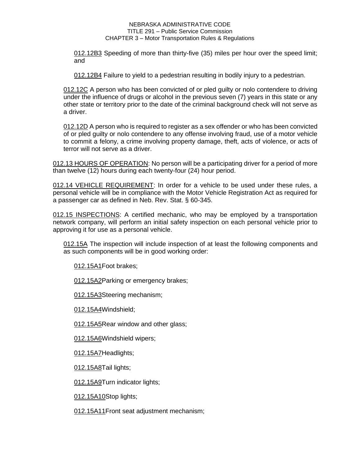012.12B3 Speeding of more than thirty-five (35) miles per hour over the speed limit; and

012.12B4 Failure to yield to a pedestrian resulting in bodily injury to a pedestrian.

012.12C A person who has been convicted of or pled guilty or nolo contendere to driving under the influence of drugs or alcohol in the previous seven (7) years in this state or any other state or territory prior to the date of the criminal background check will not serve as a driver.

012.12D A person who is required to register as a sex offender or who has been convicted of or pled guilty or nolo contendere to any offense involving fraud, use of a motor vehicle to commit a felony, a crime involving property damage, theft, acts of violence, or acts of terror will not serve as a driver.

012.13 HOURS OF OPERATION: No person will be a participating driver for a period of more than twelve (12) hours during each twenty-four (24) hour period.

012.14 VEHICLE REQUIREMENT: In order for a vehicle to be used under these rules, a personal vehicle will be in compliance with the Motor Vehicle Registration Act as required for a passenger car as defined in Neb. Rev. Stat. § 60-345.

012.15 INSPECTIONS: A certified mechanic, who may be employed by a transportation network company, will perform an initial safety inspection on each personal vehicle prior to approving it for use as a personal vehicle.

012.15A The inspection will include inspection of at least the following components and as such components will be in good working order:

012.15A1Foot brakes;

012.15A2Parking or emergency brakes;

012.15A3Steering mechanism;

012.15A4Windshield;

012.15A5Rear window and other glass;

012.15A6Windshield wipers;

012.15A7Headlights;

012.15A8Tail lights;

012.15A9Turn indicator lights:

012.15A10Stop lights;

012.15A11Front seat adjustment mechanism;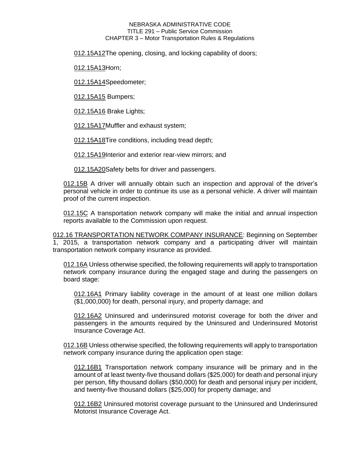012.15A12The opening, closing, and locking capability of doors;

012.15A13Horn;

012.15A14Speedometer;

012.15A15 Bumpers;

012.15A16 Brake Lights;

012.15A17Muffler and exhaust system;

012.15A18Tire conditions, including tread depth;

012.15A19Interior and exterior rear-view mirrors; and

012.15A20Safety belts for driver and passengers.

012.15B A driver will annually obtain such an inspection and approval of the driver's personal vehicle in order to continue its use as a personal vehicle. A driver will maintain proof of the current inspection.

012.15C A transportation network company will make the initial and annual inspection reports available to the Commission upon request.

012.16 TRANSPORTATION NETWORK COMPANY INSURANCE: Beginning on September 1, 2015, a transportation network company and a participating driver will maintain transportation network company insurance as provided.

012.16A Unless otherwise specified, the following requirements will apply to transportation network company insurance during the engaged stage and during the passengers on board stage:

012.16A1 Primary liability coverage in the amount of at least one million dollars (\$1,000,000) for death, personal injury, and property damage; and

012.16A2 Uninsured and underinsured motorist coverage for both the driver and passengers in the amounts required by the Uninsured and Underinsured Motorist Insurance Coverage Act.

012.16B Unless otherwise specified, the following requirements will apply to transportation network company insurance during the application open stage:

012.16B1 Transportation network company insurance will be primary and in the amount of at least twenty-five thousand dollars (\$25,000) for death and personal injury per person, fifty thousand dollars (\$50,000) for death and personal injury per incident, and twenty-five thousand dollars (\$25,000) for property damage; and

012.16B2 Uninsured motorist coverage pursuant to the Uninsured and Underinsured Motorist Insurance Coverage Act.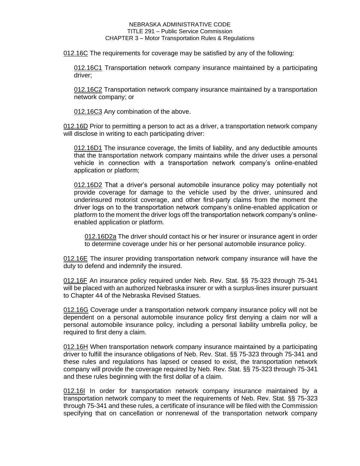012.16C The requirements for coverage may be satisfied by any of the following:

012.16C1 Transportation network company insurance maintained by a participating driver;

012.16C2 Transportation network company insurance maintained by a transportation network company; or

012.16C3 Any combination of the above.

012.16D Prior to permitting a person to act as a driver, a transportation network company will disclose in writing to each participating driver:

012.16D1 The insurance coverage, the limits of liability, and any deductible amounts that the transportation network company maintains while the driver uses a personal vehicle in connection with a transportation network company's online-enabled application or platform;

012.16D2 That a driver's personal automobile insurance policy may potentially not provide coverage for damage to the vehicle used by the driver, uninsured and underinsured motorist coverage, and other first-party claims from the moment the driver logs on to the transportation network company's online-enabled application or platform to the moment the driver logs off the transportation network company's onlineenabled application or platform.

012.16D2a The driver should contact his or her insurer or insurance agent in order to determine coverage under his or her personal automobile insurance policy.

012.16E The insurer providing transportation network company insurance will have the duty to defend and indemnify the insured.

012.16F An insurance policy required under Neb. Rev. Stat. §§ 75-323 through 75-341 will be placed with an authorized Nebraska insurer or with a surplus-lines insurer pursuant to Chapter 44 of the Nebraska Revised Statues.

012.16G Coverage under a transportation network company insurance policy will not be dependent on a personal automobile insurance policy first denying a claim nor will a personal automobile insurance policy, including a personal liability umbrella policy, be required to first deny a claim.

012.16H When transportation network company insurance maintained by a participating driver to fulfill the insurance obligations of Neb. Rev. Stat. §§ 75-323 through 75-341 and these rules and regulations has lapsed or ceased to exist, the transportation network company will provide the coverage required by Neb. Rev. Stat. §§ 75-323 through 75-341 and these rules beginning with the first dollar of a claim.

012.16I In order for transportation network company insurance maintained by a transportation network company to meet the requirements of Neb. Rev. Stat. §§ 75-323 through 75-341 and these rules, a certificate of insurance will be filed with the Commission specifying that on cancellation or nonrenewal of the transportation network company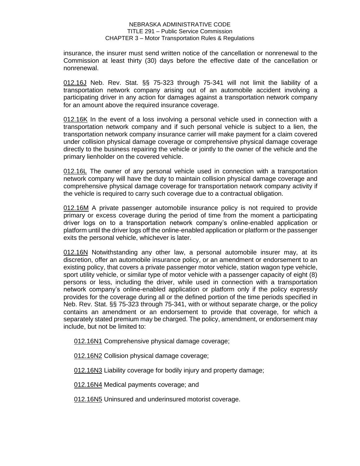insurance, the insurer must send written notice of the cancellation or nonrenewal to the Commission at least thirty (30) days before the effective date of the cancellation or nonrenewal.

012.16J Neb. Rev. Stat. §§ 75-323 through 75-341 will not limit the liability of a transportation network company arising out of an automobile accident involving a participating driver in any action for damages against a transportation network company for an amount above the required insurance coverage.

012.16K In the event of a loss involving a personal vehicle used in connection with a transportation network company and if such personal vehicle is subject to a lien, the transportation network company insurance carrier will make payment for a claim covered under collision physical damage coverage or comprehensive physical damage coverage directly to the business repairing the vehicle or jointly to the owner of the vehicle and the primary lienholder on the covered vehicle.

012.16L The owner of any personal vehicle used in connection with a transportation network company will have the duty to maintain collision physical damage coverage and comprehensive physical damage coverage for transportation network company activity if the vehicle is required to carry such coverage due to a contractual obligation.

012.16M A private passenger automobile insurance policy is not required to provide primary or excess coverage during the period of time from the moment a participating driver logs on to a transportation network company's online-enabled application or platform until the driver logs off the online-enabled application or platform or the passenger exits the personal vehicle, whichever is later.

012.16N Notwithstanding any other law, a personal automobile insurer may, at its discretion, offer an automobile insurance policy, or an amendment or endorsement to an existing policy, that covers a private passenger motor vehicle, station wagon type vehicle, sport utility vehicle, or similar type of motor vehicle with a passenger capacity of eight (8) persons or less, including the driver, while used in connection with a transportation network company's online-enabled application or platform only if the policy expressly provides for the coverage during all or the defined portion of the time periods specified in Neb. Rev. Stat. §§ 75-323 through 75-341, with or without separate charge, or the policy contains an amendment or an endorsement to provide that coverage, for which a separately stated premium may be charged. The policy, amendment, or endorsement may include, but not be limited to:

012.16N1 Comprehensive physical damage coverage;

012.16N2 Collision physical damage coverage;

012.16N3 Liability coverage for bodily injury and property damage;

012.16N4 Medical payments coverage; and

012.16N5 Uninsured and underinsured motorist coverage.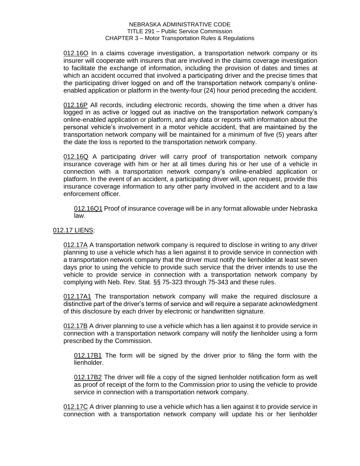012.16O In a claims coverage investigation, a transportation network company or its insurer will cooperate with insurers that are involved in the claims coverage investigation to facilitate the exchange of information, including the provision of dates and times at which an accident occurred that involved a participating driver and the precise times that the participating driver logged on and off the transportation network company's onlineenabled application or platform in the twenty-four (24) hour period preceding the accident.

012.16P All records, including electronic records, showing the time when a driver has logged in as active or logged out as inactive on the transportation network company's online-enabled application or platform, and any data or reports with information about the personal vehicle's involvement in a motor vehicle accident, that are maintained by the transportation network company will be maintained for a minimum of five (5) years after the date the loss is reported to the transportation network company.

012.16Q A participating driver will carry proof of transportation network company insurance coverage with him or her at all times during his or her use of a vehicle in connection with a transportation network company's online-enabled application or platform. In the event of an accident, a participating driver will, upon request, provide this insurance coverage information to any other party involved in the accident and to a law enforcement officer.

012.16Q1 Proof of insurance coverage will be in any format allowable under Nebraska law.

# 012.17 LIENS:

012.17A A transportation network company is required to disclose in writing to any driver planning to use a vehicle which has a lien against it to provide service in connection with a transportation network company that the driver must notify the lienholder at least seven days prior to using the vehicle to provide such service that the driver intends to use the vehicle to provide service in connection with a transportation network company by complying with Neb. Rev. Stat. §§ 75-323 through 75-343 and these rules.

012.17A1 The transportation network company will make the required disclosure a distinctive part of the driver's terms of service and will require a separate acknowledgment of this disclosure by each driver by electronic or handwritten signature.

012.17B A driver planning to use a vehicle which has a lien against it to provide service in connection with a transportation network company will notify the lienholder using a form prescribed by the Commission.

012.17B1 The form will be signed by the driver prior to filing the form with the lienholder.

012.17B2 The driver will file a copy of the signed lienholder notification form as well as proof of receipt of the form to the Commission prior to using the vehicle to provide service in connection with a transportation network company.

012.17C A driver planning to use a vehicle which has a lien against it to provide service in connection with a transportation network company will update his or her lienholder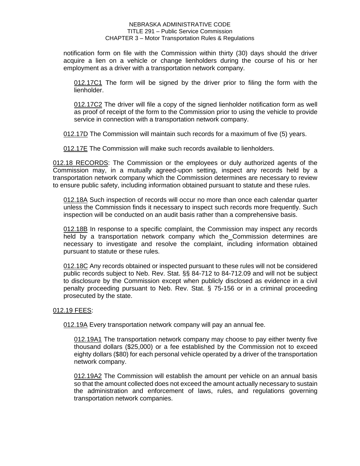notification form on file with the Commission within thirty (30) days should the driver acquire a lien on a vehicle or change lienholders during the course of his or her employment as a driver with a transportation network company.

012.17C1 The form will be signed by the driver prior to filing the form with the lienholder.

012.17C2 The driver will file a copy of the signed lienholder notification form as well as proof of receipt of the form to the Commission prior to using the vehicle to provide service in connection with a transportation network company.

012.17D The Commission will maintain such records for a maximum of five (5) years.

012.17E The Commission will make such records available to lienholders.

012.18 RECORDS: The Commission or the employees or duly authorized agents of the Commission may, in a mutually agreed-upon setting, inspect any records held by a transportation network company which the Commission determines are necessary to review to ensure public safety, including information obtained pursuant to statute and these rules.

012.18A Such inspection of records will occur no more than once each calendar quarter unless the Commission finds it necessary to inspect such records more frequently. Such inspection will be conducted on an audit basis rather than a comprehensive basis.

012.18B In response to a specific complaint, the Commission may inspect any records held by a transportation network company which the Commission determines are necessary to investigate and resolve the complaint, including information obtained pursuant to statute or these rules.

012.18C Any records obtained or inspected pursuant to these rules will not be considered public records subject to Neb. Rev. Stat. §§ 84-712 to 84-712.09 and will not be subject to disclosure by the Commission except when publicly disclosed as evidence in a civil penalty proceeding pursuant to Neb. Rev. Stat. § 75-156 or in a criminal proceeding prosecuted by the state.

# 012.19 FEES:

012.19A Every transportation network company will pay an annual fee.

012.19A1 The transportation network company may choose to pay either twenty five thousand dollars (\$25,000) or a fee established by the Commission not to exceed eighty dollars (\$80) for each personal vehicle operated by a driver of the transportation network company.

012.19A2 The Commission will establish the amount per vehicle on an annual basis so that the amount collected does not exceed the amount actually necessary to sustain the administration and enforcement of laws, rules, and regulations governing transportation network companies.